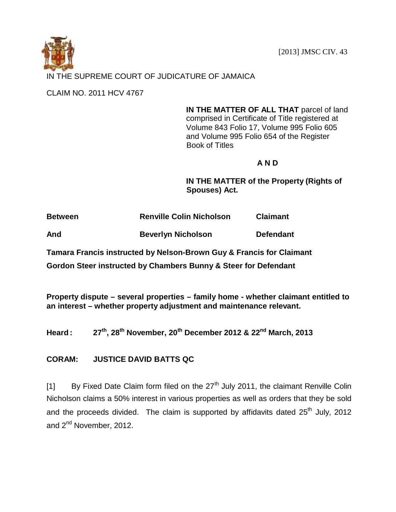[2013] JMSC CIV. 43



CLAIM NO. 2011 HCV 4767

**IN THE MATTER OF ALL THAT** parcel of land comprised in Certificate of Title registered at Volume 843 Folio 17, Volume 995 Folio 605 and Volume 995 Folio 654 of the Register Book of Titles

# **A N D**

**IN THE MATTER of the Property (Rights of Spouses) Act.**

**Between Renville Colin Nicholson Claimant**

**And Beverlyn Nicholson Defendant**

**Tamara Francis instructed by Nelson-Brown Guy & Francis for Claimant**

**Gordon Steer instructed by Chambers Bunny & Steer for Defendant**

**Property dispute – several properties – family home - whether claimant entitled to an interest – whether property adjustment and maintenance relevant.**

**Heard**: **, 28th November, 20th December 2012 & 22nd March, 2013**

**CORAM: JUSTICE DAVID BATTS QC**

[1] By Fixed Date Claim form filed on the  $27<sup>th</sup>$  July 2011, the claimant Renville Colin Nicholson claims a 50% interest in various properties as well as orders that they be sold and the proceeds divided. The claim is supported by affidavits dated  $25<sup>th</sup>$  July, 2012 and 2<sup>nd</sup> November, 2012.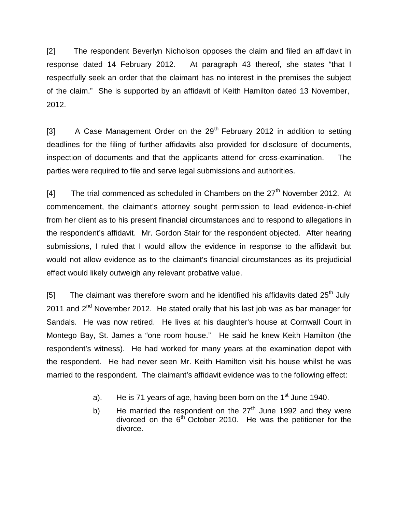[2] The respondent Beverlyn Nicholson opposes the claim and filed an affidavit in response dated 14 February 2012. At paragraph 43 thereof, she states "that I respectfully seek an order that the claimant has no interest in the premises the subject of the claim." She is supported by an affidavit of Keith Hamilton dated 13 November, 2012.

[3]  $\blacksquare$  A Case Management Order on the 29<sup>th</sup> February 2012 in addition to setting deadlines for the filing of further affidavits also provided for disclosure of documents, inspection of documents and that the applicants attend for cross-examination. The parties were required to file and serve legal submissions and authorities.

[4] The trial commenced as scheduled in Chambers on the  $27<sup>th</sup>$  November 2012. At commencement, the claimant's attorney sought permission to lead evidence-in-chief from her client as to his present financial circumstances and to respond to allegations in the respondent's affidavit. Mr. Gordon Stair for the respondent objected. After hearing submissions, I ruled that I would allow the evidence in response to the affidavit but would not allow evidence as to the claimant's financial circumstances as its prejudicial effect would likely outweigh any relevant probative value.

[5] The claimant was therefore sworn and he identified his affidavits dated  $25<sup>th</sup>$  July 2011 and  $2^{nd}$  November 2012. He stated orally that his last job was as bar manager for Sandals. He was now retired. He lives at his daughter's house at Cornwall Court in Montego Bay, St. James a "one room house." He said he knew Keith Hamilton (the respondent's witness). He had worked for many years at the examination depot with the respondent. He had never seen Mr. Keith Hamilton visit his house whilst he was married to the respondent. The claimant's affidavit evidence was to the following effect:

- a). He is 71 years of age, having been born on the  $1<sup>st</sup>$  June 1940.
- b) He married the respondent on the  $27<sup>th</sup>$  June 1992 and they were divorced on the  $6<sup>th</sup>$  October 2010. He was the petitioner for the divorce.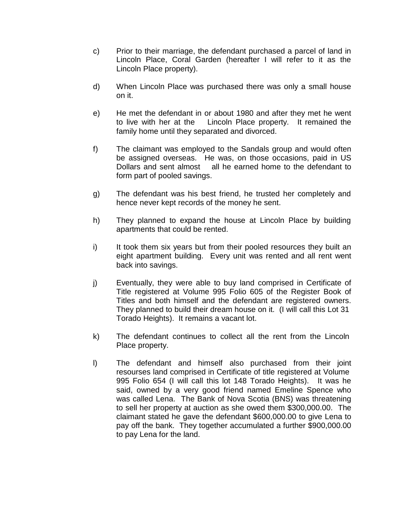- c) Prior to their marriage, the defendant purchased a parcel of land in Lincoln Place, Coral Garden (hereafter I will refer to it as the Lincoln Place property).
- d) When Lincoln Place was purchased there was only a small house on it.
- e) He met the defendant in or about 1980 and after they met he went to live with her at the Lincoln Place property. It remained the family home until they separated and divorced.
- f) The claimant was employed to the Sandals group and would often be assigned overseas. He was, on those occasions, paid in US Dollars and sent almost all he earned home to the defendant to form part of pooled savings.
- g) The defendant was his best friend, he trusted her completely and hence never kept records of the money he sent.
- h) They planned to expand the house at Lincoln Place by building apartments that could be rented.
- i) It took them six years but from their pooled resources they built an eight apartment building. Every unit was rented and all rent went back into savings.
- j) Eventually, they were able to buy land comprised in Certificate of Title registered at Volume 995 Folio 605 of the Register Book of Titles and both himself and the defendant are registered owners. They planned to build their dream house on it. (I will call this Lot 31 Torado Heights). It remains a vacant lot.
- k) The defendant continues to collect all the rent from the Lincoln Place property.
- l) The defendant and himself also purchased from their joint resourses land comprised in Certificate of title registered at Volume 995 Folio 654 (I will call this lot 148 Torado Heights). It was he said, owned by a very good friend named Emeline Spence who was called Lena. The Bank of Nova Scotia (BNS) was threatening to sell her property at auction as she owed them \$300,000.00. The claimant stated he gave the defendant \$600,000.00 to give Lena to pay off the bank. They together accumulated a further \$900,000.00 to pay Lena for the land.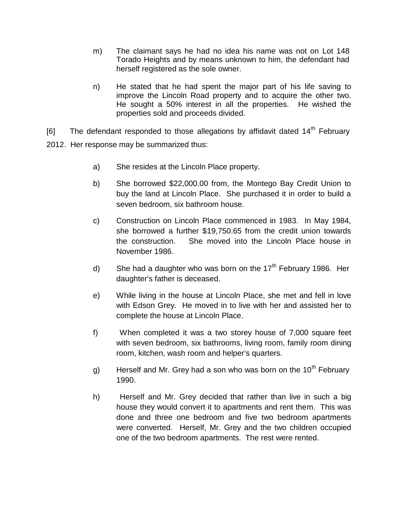- m) The claimant says he had no idea his name was not on Lot 148 Torado Heights and by means unknown to him, the defendant had herself registered as the sole owner.
- n) He stated that he had spent the major part of his life saving to improve the Lincoln Road property and to acquire the other two. He sought a 50% interest in all the properties. He wished the properties sold and proceeds divided.
- [6] The defendant responded to those allegations by affidavit dated  $14<sup>th</sup>$  February 2012. Her response may be summarized thus:
	- a) She resides at the Lincoln Place property.
	- b) She borrowed \$22,000.00 from, the Montego Bay Credit Union to buy the land at Lincoln Place. She purchased it in order to build a seven bedroom, six bathroom house.
	- c) Construction on Lincoln Place commenced in 1983. In May 1984, she borrowed a further \$19,750.65 from the credit union towards the construction. She moved into the Lincoln Place house in November 1986.
	- d) She had a daughter who was born on the  $17<sup>th</sup>$  February 1986. Her daughter's father is deceased.
	- e) While living in the house at Lincoln Place, she met and fell in love with Edson Grey. He moved in to live with her and assisted her to complete the house at Lincoln Place.
	- f) When completed it was a two storey house of 7,000 square feet with seven bedroom, six bathrooms, living room, family room dining room, kitchen, wash room and helper's quarters.
	- g) Herself and Mr. Grey had a son who was born on the 10<sup>th</sup> February 1990.
	- h) Herself and Mr. Grey decided that rather than live in such a big house they would convert it to apartments and rent them. This was done and three one bedroom and five two bedroom apartments were converted. Herself, Mr. Grey and the two children occupied one of the two bedroom apartments. The rest were rented.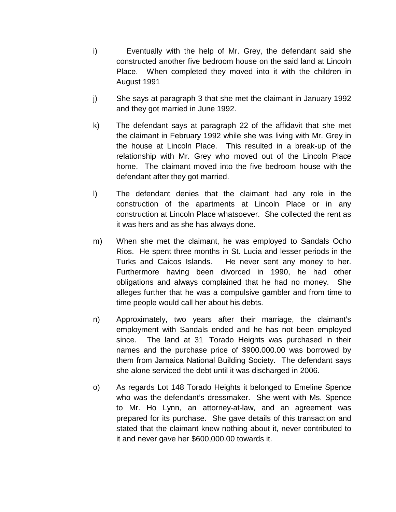- i) Eventually with the help of Mr. Grey, the defendant said she constructed another five bedroom house on the said land at Lincoln Place. When completed they moved into it with the children in August 1991
- j) She says at paragraph 3 that she met the claimant in January 1992 and they got married in June 1992.
- k) The defendant says at paragraph 22 of the affidavit that she met the claimant in February 1992 while she was living with Mr. Grey in the house at Lincoln Place. This resulted in a break-up of the relationship with Mr. Grey who moved out of the Lincoln Place home. The claimant moved into the five bedroom house with the defendant after they got married.
- l) The defendant denies that the claimant had any role in the construction of the apartments at Lincoln Place or in any construction at Lincoln Place whatsoever. She collected the rent as it was hers and as she has always done.
- m) When she met the claimant, he was employed to Sandals Ocho Rios. He spent three months in St. Lucia and lesser periods in the Turks and Caicos Islands. He never sent any money to her. Furthermore having been divorced in 1990, he had other obligations and always complained that he had no money. She alleges further that he was a compulsive gambler and from time to time people would call her about his debts.
- n) Approximately, two years after their marriage, the claimant's employment with Sandals ended and he has not been employed since. The land at 31 Torado Heights was purchased in their names and the purchase price of \$900.000.00 was borrowed by them from Jamaica National Building Society. The defendant says she alone serviced the debt until it was discharged in 2006.
- o) As regards Lot 148 Torado Heights it belonged to Emeline Spence who was the defendant's dressmaker. She went with Ms. Spence to Mr. Ho Lynn, an attorney-at-law, and an agreement was prepared for its purchase. She gave details of this transaction and stated that the claimant knew nothing about it, never contributed to it and never gave her \$600,000.00 towards it.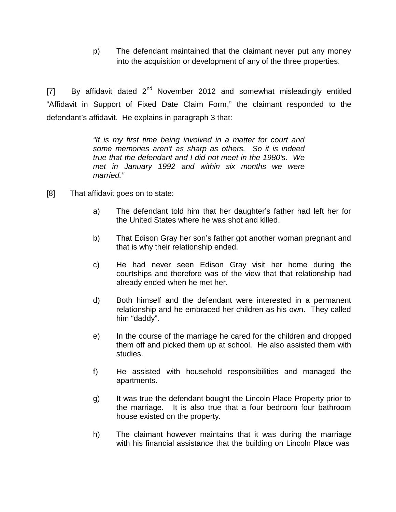p) The defendant maintained that the claimant never put any money into the acquisition or development of any of the three properties.

[7] By affidavit dated  $2^{nd}$  November 2012 and somewhat misleadingly entitled "Affidavit in Support of Fixed Date Claim Form," the claimant responded to the defendant's affidavit. He explains in paragraph 3 that:

> *"It is my first time being involved in a matter for court and some memories aren't as sharp as others. So it is indeed true that the defendant and I did not meet in the 1980's. We met in January 1992 and within six months we were married."*

- [8] That affidavit goes on to state:
	- a) The defendant told him that her daughter's father had left her for the United States where he was shot and killed.
	- b) That Edison Gray her son's father got another woman pregnant and that is why their relationship ended.
	- c) He had never seen Edison Gray visit her home during the courtships and therefore was of the view that that relationship had already ended when he met her.
	- d) Both himself and the defendant were interested in a permanent relationship and he embraced her children as his own. They called him "daddy".
	- e) In the course of the marriage he cared for the children and dropped them off and picked them up at school. He also assisted them with studies.
	- f) He assisted with household responsibilities and managed the apartments.
	- g) It was true the defendant bought the Lincoln Place Property prior to the marriage. It is also true that a four bedroom four bathroom house existed on the property.
	- h) The claimant however maintains that it was during the marriage with his financial assistance that the building on Lincoln Place was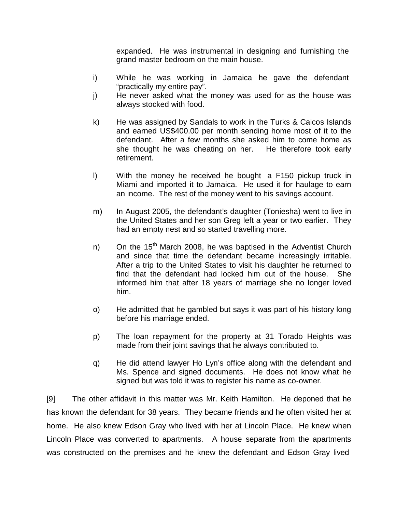expanded. He was instrumental in designing and furnishing the grand master bedroom on the main house.

- i) While he was working in Jamaica he gave the defendant "practically my entire pay".
- j) He never asked what the money was used for as the house was always stocked with food.
- k) He was assigned by Sandals to work in the Turks & Caicos Islands and earned US\$400.00 per month sending home most of it to the defendant. After a few months she asked him to come home as she thought he was cheating on her. He therefore took early retirement.
- l) With the money he received he bought a F150 pickup truck in Miami and imported it to Jamaica. He used it for haulage to earn an income. The rest of the money went to his savings account.
- m) In August 2005, the defendant's daughter (Toniesha) went to live in the United States and her son Greg left a year or two earlier. They had an empty nest and so started travelling more.
- n) On the 15<sup>th</sup> March 2008, he was baptised in the Adventist Church and since that time the defendant became increasingly irritable. After a trip to the United States to visit his daughter he returned to find that the defendant had locked him out of the house. She informed him that after 18 years of marriage she no longer loved him.
- o) He admitted that he gambled but says it was part of his history long before his marriage ended.
- p) The loan repayment for the property at 31 Torado Heights was made from their joint savings that he always contributed to.
- q) He did attend lawyer Ho Lyn's office along with the defendant and Ms. Spence and signed documents. He does not know what he signed but was told it was to register his name as co-owner.

[9] The other affidavit in this matter was Mr. Keith Hamilton. He deponed that he has known the defendant for 38 years. They became friends and he often visited her at home. He also knew Edson Gray who lived with her at Lincoln Place. He knew when Lincoln Place was converted to apartments. A house separate from the apartments was constructed on the premises and he knew the defendant and Edson Gray lived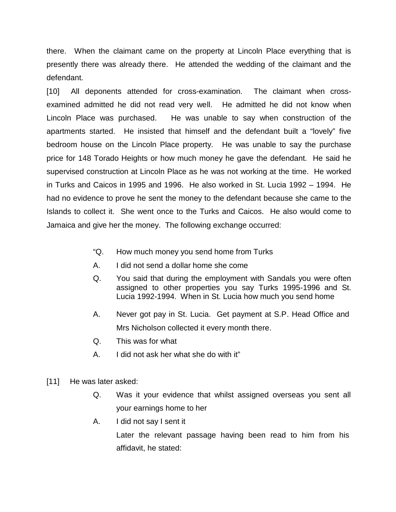there. When the claimant came on the property at Lincoln Place everything that is presently there was already there. He attended the wedding of the claimant and the defendant.

[10] All deponents attended for cross-examination. The claimant when crossexamined admitted he did not read very well. He admitted he did not know when Lincoln Place was purchased. He was unable to say when construction of the apartments started. He insisted that himself and the defendant built a "lovely" five bedroom house on the Lincoln Place property. He was unable to say the purchase price for 148 Torado Heights or how much money he gave the defendant. He said he supervised construction at Lincoln Place as he was not working at the time. He worked in Turks and Caicos in 1995 and 1996. He also worked in St. Lucia 1992 – 1994. He had no evidence to prove he sent the money to the defendant because she came to the Islands to collect it. She went once to the Turks and Caicos. He also would come to Jamaica and give her the money. The following exchange occurred:

- "Q. How much money you send home from Turks
- A. I did not send a dollar home she come
- Q. You said that during the employment with Sandals you were often assigned to other properties you say Turks 1995-1996 and St. Lucia 1992-1994. When in St. Lucia how much you send home
- A. Never got pay in St. Lucia. Get payment at S.P. Head Office and Mrs Nicholson collected it every month there.
- Q. This was for what
- A. I did not ask her what she do with it"
- [11] He was later asked:
	- Q. Was it your evidence that whilst assigned overseas you sent all your earnings home to her
	- A. I did not say I sent it

Later the relevant passage having been read to him from his affidavit, he stated: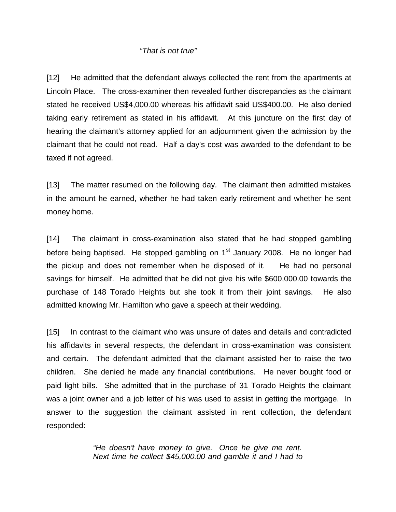#### *"That is not true"*

[12] He admitted that the defendant always collected the rent from the apartments at Lincoln Place. The cross-examiner then revealed further discrepancies as the claimant stated he received US\$4,000.00 whereas his affidavit said US\$400.00. He also denied taking early retirement as stated in his affidavit. At this juncture on the first day of hearing the claimant's attorney applied for an adjournment given the admission by the claimant that he could not read. Half a day's cost was awarded to the defendant to be taxed if not agreed.

[13] The matter resumed on the following day. The claimant then admitted mistakes in the amount he earned, whether he had taken early retirement and whether he sent money home.

[14] The claimant in cross-examination also stated that he had stopped gambling before being baptised. He stopped gambling on  $1<sup>st</sup>$  January 2008. He no longer had the pickup and does not remember when he disposed of it. He had no personal savings for himself. He admitted that he did not give his wife \$600,000.00 towards the purchase of 148 Torado Heights but she took it from their joint savings. He also admitted knowing Mr. Hamilton who gave a speech at their wedding.

[15] In contrast to the claimant who was unsure of dates and details and contradicted his affidavits in several respects, the defendant in cross-examination was consistent and certain. The defendant admitted that the claimant assisted her to raise the two children. She denied he made any financial contributions. He never bought food or paid light bills. She admitted that in the purchase of 31 Torado Heights the claimant was a joint owner and a job letter of his was used to assist in getting the mortgage. In answer to the suggestion the claimant assisted in rent collection, the defendant responded:

> *"He doesn't have money to give. Once he give me rent. Next time he collect \$45,000.00 and gamble it and I had to*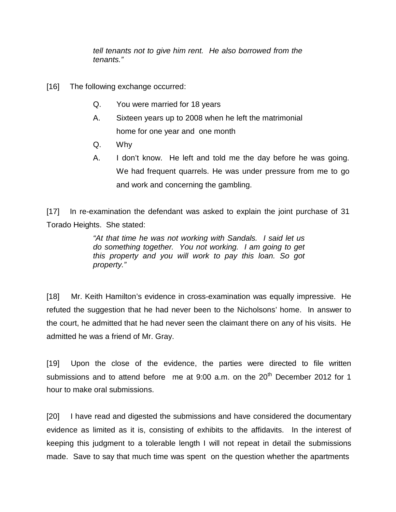*tell tenants not to give him rent. He also borrowed from the tenants."*

- [16] The following exchange occurred:
	- Q. You were married for 18 years
	- A. Sixteen years up to 2008 when he left the matrimonial home for one year and one month
	- Q. Why
	- A. I don't know. He left and told me the day before he was going. We had frequent quarrels. He was under pressure from me to go and work and concerning the gambling.

[17] In re-examination the defendant was asked to explain the joint purchase of 31 Torado Heights. She stated:

> *"At that time he was not working with Sandals. I said let us do something together. You not working. I am going to get this property and you will work to pay this loan. So got property."*

[18] Mr. Keith Hamilton's evidence in cross-examination was equally impressive. He refuted the suggestion that he had never been to the Nicholsons' home. In answer to the court, he admitted that he had never seen the claimant there on any of his visits. He admitted he was a friend of Mr. Gray.

[19] Upon the close of the evidence, the parties were directed to file written submissions and to attend before me at  $9:00$  a.m. on the  $20<sup>th</sup>$  December 2012 for 1 hour to make oral submissions.

[20] I have read and digested the submissions and have considered the documentary evidence as limited as it is, consisting of exhibits to the affidavits. In the interest of keeping this judgment to a tolerable length I will not repeat in detail the submissions made. Save to say that much time was spent on the question whether the apartments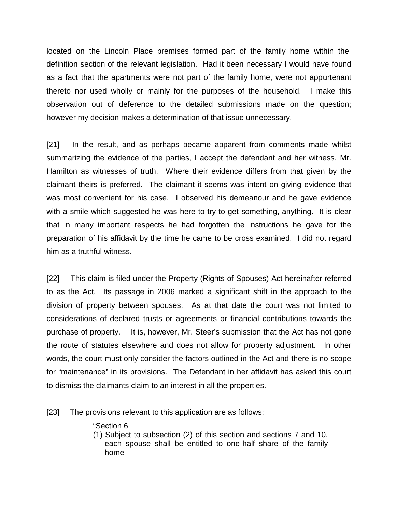located on the Lincoln Place premises formed part of the family home within the definition section of the relevant legislation. Had it been necessary I would have found as a fact that the apartments were not part of the family home, were not appurtenant thereto nor used wholly or mainly for the purposes of the household. I make this observation out of deference to the detailed submissions made on the question; however my decision makes a determination of that issue unnecessary.

[21] In the result, and as perhaps became apparent from comments made whilst summarizing the evidence of the parties, I accept the defendant and her witness, Mr. Hamilton as witnesses of truth. Where their evidence differs from that given by the claimant theirs is preferred. The claimant it seems was intent on giving evidence that was most convenient for his case. I observed his demeanour and he gave evidence with a smile which suggested he was here to try to get something, anything. It is clear that in many important respects he had forgotten the instructions he gave for the preparation of his affidavit by the time he came to be cross examined. I did not regard him as a truthful witness.

[22] This claim is filed under the Property (Rights of Spouses) Act hereinafter referred to as the Act. Its passage in 2006 marked a significant shift in the approach to the division of property between spouses. As at that date the court was not limited to considerations of declared trusts or agreements or financial contributions towards the purchase of property. It is, however, Mr. Steer's submission that the Act has not gone the route of statutes elsewhere and does not allow for property adjustment. In other words, the court must only consider the factors outlined in the Act and there is no scope for "maintenance" in its provisions. The Defendant in her affidavit has asked this court to dismiss the claimants claim to an interest in all the properties.

[23] The provisions relevant to this application are as follows:

"Section 6

(1) Subject to subsection (2) of this section and sections 7 and 10, each spouse shall be entitled to one-half share of the family home—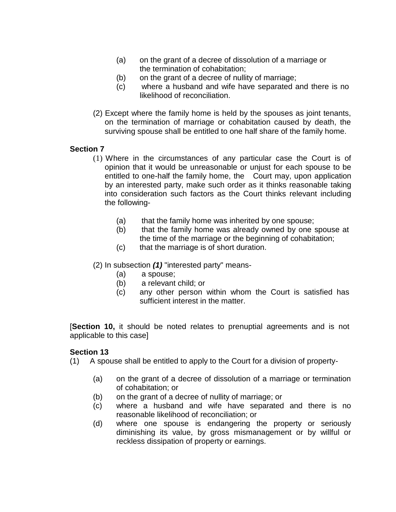- (a) on the grant of a decree of dissolution of a marriage or the termination of cohabitation;
- (b) on the grant of a decree of nullity of marriage;
- (c) where a husband and wife have separated and there is no likelihood of reconciliation.
- (2) Except where the family home is held by the spouses as joint tenants, on the termination of marriage or cohabitation caused by death, the surviving spouse shall be entitled to one half share of the family home.

## **Section 7**

- (1) Where in the circumstances of any particular case the Court is of opinion that it would be unreasonable or unjust for each spouse to be entitled to one-half the family home, the Court may, upon application by an interested party, make such order as it thinks reasonable taking into consideration such factors as the Court thinks relevant including the following-
	- (a) that the family home was inherited by one spouse;
	- (b) that the family home was already owned by one spouse at the time of the marriage or the beginning of cohabitation;
	- (c) that the marriage is of short duration.
- (2) In subsection *(1)* "interested party" means-
	- (a) a spouse;
	- (b) a relevant child; or
	- (c) any other person within whom the Court is satisfied has sufficient interest in the matter.

[**Section 10,** it should be noted relates to prenuptial agreements and is not applicable to this case]

#### **Section 13**

(1) A spouse shall be entitled to apply to the Court for a division of property-

- (a) on the grant of a decree of dissolution of a marriage or termination of cohabitation; or
- (b) on the grant of a decree of nullity of marriage; or
- (c) where a husband and wife have separated and there is no reasonable likelihood of reconciliation; or
- (d) where one spouse is endangering the property or seriously diminishing its value, by gross mismanagement or by willful or reckless dissipation of property or earnings.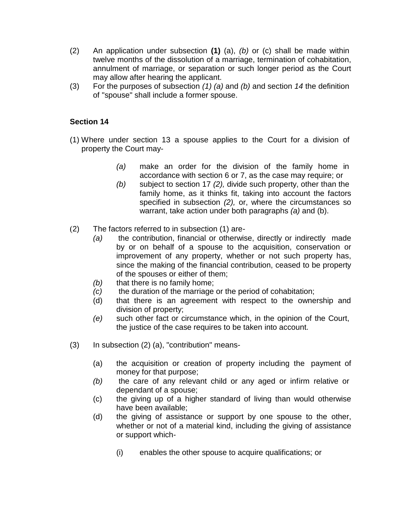- (2) An application under subsection **(1)** (a), *(b)* or (c) shall be made within twelve months of the dissolution of a marriage, termination of cohabitation, annulment of marriage, or separation or such longer period as the Court may allow after hearing the applicant.
- (3) For the purposes of subsection *(1) (a)* and *(b)* and section *14* the definition of "spouse" shall include a former spouse.

## **Section 14**

- (1) Where under section 13 a spouse applies to the Court for a division of property the Court may-
	- *(a)* make an order for the division of the family home in accordance with section 6 or 7, as the case may require; or
	- *(b)* subject to section 17 *(2),* divide such property, other than the family home, as it thinks fit, taking into account the factors specified in subsection *(2),* or, where the circumstances so warrant, take action under both paragraphs *(a)* and (b).
- (2) The factors referred to in subsection (1) are-
	- *(a)* the contribution, financial or otherwise, directly or indirectly made by or on behalf of a spouse to the acquisition, conservation or improvement of any property, whether or not such property has, since the making of the financial contribution, ceased to be property of the spouses or either of them;
	- *(b)* that there is no family home;
	- *(c)* the duration of the marriage or the period of cohabitation;
	- (d) that there is an agreement with respect to the ownership and division of property;
	- *(e)* such other fact or circumstance which, in the opinion of the Court, the justice of the case requires to be taken into account.
- (3) In subsection (2) (a), "contribution" means-
	- (a) the acquisition or creation of property including the payment of money for that purpose;
	- *(b)* the care of any relevant child or any aged or infirm relative or dependant of a spouse;
	- (c) the giving up of a higher standard of living than would otherwise have been available;
	- (d) the giving of assistance or support by one spouse to the other, whether or not of a material kind, including the giving of assistance or support which-
		- (i) enables the other spouse to acquire qualifications; or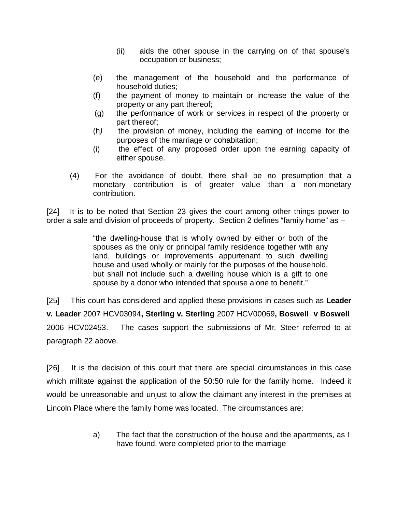- (ii) aids the other spouse in the carrying on of that spouse's occupation or business;
- (e) the management of the household and the performance of household duties;
- (f) the payment of money to maintain or increase the value of the property or any part thereof;
- (g) the performance of work or services in respect of the property or part thereof;
- (h*)* the provision of money, including the earning of income for the purposes of the marriage or cohabitation;
- (i) the effect of any proposed order upon the earning capacity of either spouse.
- (4) For the avoidance of doubt, there shall be no presumption that a monetary contribution is of greater value than a non-monetary contribution.

[24] It is to be noted that Section 23 gives the court among other things power to order a sale and division of proceeds of property. Section 2 defines "family home" as –

> "the dwelling-house that is wholly owned by either or both of the spouses as the only or principal family residence together with any land, buildings or improvements appurtenant to such dwelling house and used wholly or mainly for the purposes of the household, but shall not include such a dwelling house which is a gift to one spouse by a donor who intended that spouse alone to benefit."

[25] This court has considered and applied these provisions in cases such as **Leader v. Leader** 2007 HCV03094**, Sterling v. Sterling** 2007 HCV00069**, Boswell v Boswell** 2006 HCV02453. The cases support the submissions of Mr. Steer referred to at paragraph 22 above.

[26] It is the decision of this court that there are special circumstances in this case which militate against the application of the 50:50 rule for the family home. Indeed it would be unreasonable and unjust to allow the claimant any interest in the premises at Lincoln Place where the family home was located. The circumstances are:

> a) The fact that the construction of the house and the apartments, as I have found, were completed prior to the marriage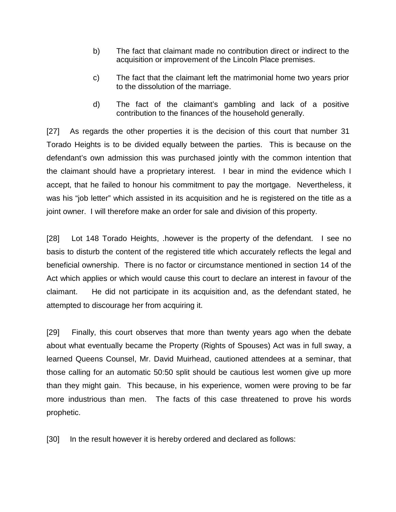- b) The fact that claimant made no contribution direct or indirect to the acquisition or improvement of the Lincoln Place premises.
- c) The fact that the claimant left the matrimonial home two years prior to the dissolution of the marriage.
- d) The fact of the claimant's gambling and lack of a positive contribution to the finances of the household generally.

[27] As regards the other properties it is the decision of this court that number 31 Torado Heights is to be divided equally between the parties. This is because on the defendant's own admission this was purchased jointly with the common intention that the claimant should have a proprietary interest. I bear in mind the evidence which I accept, that he failed to honour his commitment to pay the mortgage. Nevertheless, it was his "job letter" which assisted in its acquisition and he is registered on the title as a joint owner. I will therefore make an order for sale and division of this property.

[28] Lot 148 Torado Heights, .however is the property of the defendant. I see no basis to disturb the content of the registered title which accurately reflects the legal and beneficial ownership. There is no factor or circumstance mentioned in section 14 of the Act which applies or which would cause this court to declare an interest in favour of the claimant. He did not participate in its acquisition and, as the defendant stated, he attempted to discourage her from acquiring it.

[29] Finally, this court observes that more than twenty years ago when the debate about what eventually became the Property (Rights of Spouses) Act was in full sway, a learned Queens Counsel, Mr. David Muirhead, cautioned attendees at a seminar, that those calling for an automatic 50:50 split should be cautious lest women give up more than they might gain. This because, in his experience, women were proving to be far more industrious than men. The facts of this case threatened to prove his words prophetic.

[30] In the result however it is hereby ordered and declared as follows: